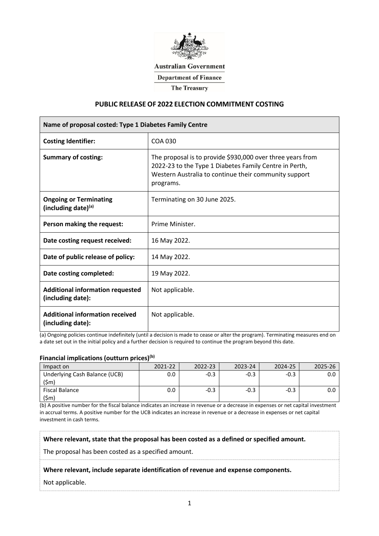

**Australian Government** 

**Department of Finance** 

**The Treasury** 

### **PUBLIC RELEASE OF 2022 ELECTION COMMITMENT COSTING**

| Name of proposal costed: Type 1 Diabetes Family Centre       |                                                                                                                                                                                            |  |  |  |
|--------------------------------------------------------------|--------------------------------------------------------------------------------------------------------------------------------------------------------------------------------------------|--|--|--|
| <b>Costing Identifier:</b>                                   | COA 030                                                                                                                                                                                    |  |  |  |
| <b>Summary of costing:</b>                                   | The proposal is to provide \$930,000 over three years from<br>2022-23 to the Type 1 Diabetes Family Centre in Perth,<br>Western Australia to continue their community support<br>programs. |  |  |  |
| <b>Ongoing or Terminating</b><br>(including date) $(a)$      | Terminating on 30 June 2025.                                                                                                                                                               |  |  |  |
| Person making the request:                                   | Prime Minister.                                                                                                                                                                            |  |  |  |
| Date costing request received:                               | 16 May 2022.                                                                                                                                                                               |  |  |  |
| Date of public release of policy:                            | 14 May 2022.                                                                                                                                                                               |  |  |  |
| Date costing completed:                                      | 19 May 2022.                                                                                                                                                                               |  |  |  |
| <b>Additional information requested</b><br>(including date): | Not applicable.                                                                                                                                                                            |  |  |  |
| <b>Additional information received</b><br>(including date):  | Not applicable.                                                                                                                                                                            |  |  |  |

(a) Ongoing policies continue indefinitely (until a decision is made to cease or alter the program). Terminating measures end on a date set out in the initial policy and a further decision is required to continue the program beyond this date.

### **Financial implications (outturn prices)(b)**

| Impact on                             | 2021-22 | 2022-23 | $2023 - 24$ | 2024-25 | 2025-26 |
|---------------------------------------|---------|---------|-------------|---------|---------|
| Underlying Cash Balance (UCB)<br>(5m) |         |         |             |         |         |
| Fiscal Balance<br>$(\textsf{5m})$     |         | -0.-    |             |         |         |

(b) A positive number for the fiscal balance indicates an increase in revenue or a decrease in expenses or net capital investment in accrual terms. A positive number for the UCB indicates an increase in revenue or a decrease in expenses or net capital investment in cash terms.

**Where relevant, state that the proposal has been costed as a defined or specified amount.**

The proposal has been costed as a specified amount.

#### **Where relevant, include separate identification of revenue and expense components.**

Not applicable.